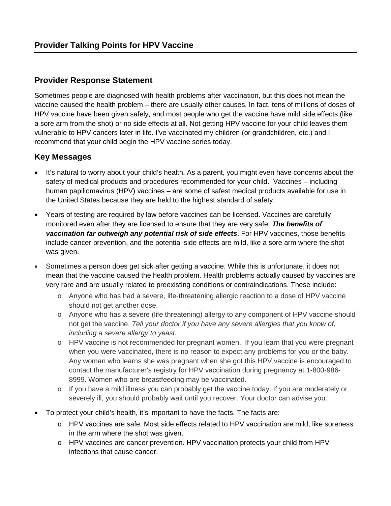## **Provider Response Statement**

Sometimes people are diagnosed with health problems after vaccination, but this does not mean the vaccine caused the health problem – there are usually other causes. In fact, tens of millions of doses of HPV vaccine have been given safely, and most people who get the vaccine have mild side effects (like a sore arm from the shot) or no side effects at all. Not getting HPV vaccine for your child leaves them vulnerable to HPV cancers later in life. I've vaccinated my children (or grandchildren, etc.) and I recommend that your child begin the HPV vaccine series today.

# **Key Messages**

- It's natural to worry about your child's health. As a parent, you might even have concerns about the safety of medical products and procedures recommended for your child. Vaccines – including human papillomavirus (HPV) vaccines – are some of safest medical products available for use in the United States because they are held to the highest standard of safety.
- Years of testing are required by law before vaccines can be licensed. Vaccines are carefully monitored even after they are licensed to ensure that they are very safe. *The benefits of vaccination far outweigh any potential risk of side effects*. For HPV vaccines, those benefits include cancer prevention, and the potential side effects are mild, like a sore arm where the shot was given.
- Sometimes a person does get sick after getting a vaccine. While this is unfortunate, it does not mean that the vaccine caused the health problem. Health problems actually caused by vaccines are very rare and are usually related to preexisting conditions or contraindications. These include:
	- o Anyone who has had a severe, life-threatening allergic reaction to a dose of HPV vaccine should not get another dose.
	- o Anyone who has a severe (life threatening) allergy to any component of HPV vaccine should not get the vaccine. *Tell your doctor if you have any severe allergies that you know of, including a severe allergy to yeast.*
	- o HPV vaccine is not recommended for pregnant women. If you learn that you were pregnant when you were vaccinated, there is no reason to expect any problems for you or the baby. Any woman who learns she was pregnant when she got this HPV vaccine is encouraged to contact the manufacturer's registry for HPV vaccination during pregnancy at 1-800-986- 8999. Women who are breastfeeding may be vaccinated.
	- $\circ$  If you have a mild illness you can probably get the vaccine today. If you are moderately or severely ill, you should probably wait until you recover. Your doctor can advise you.
- To protect your child's health, it's important to have the facts. The facts are:
	- o HPV vaccines are safe. Most side effects related to HPV vaccination are mild, like soreness in the arm where the shot was given.
	- o HPV vaccines are cancer prevention. HPV vaccination protects your child from HPV infections that cause cancer.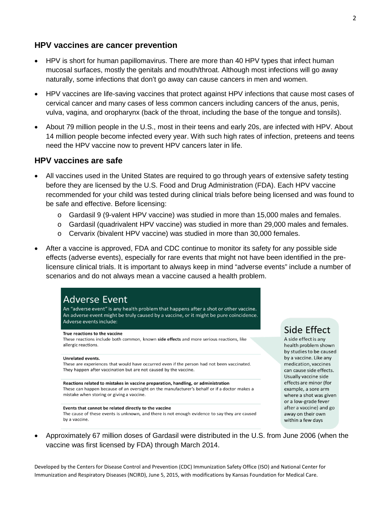## **HPV vaccines are cancer prevention**

- HPV is short for human papillomavirus. There are more than 40 HPV types that infect human mucosal surfaces, mostly the genitals and mouth/throat. Although most infections will go away naturally, some infections that don't go away can cause cancers in men and women.
- HPV vaccines are life-saving vaccines that protect against HPV infections that cause most cases of cervical cancer and many cases of less common cancers including cancers of the anus, penis, vulva, vagina, and oropharynx (back of the throat, including the base of the tongue and tonsils).
- About 79 million people in the U.S., most in their teens and early 20s, are infected with HPV. About 14 million people become infected every year. With such high rates of infection, preteens and teens need the HPV vaccine now to prevent HPV cancers later in life.

### **HPV vaccines are safe**

- All vaccines used in the United States are required to go through years of extensive safety testing before they are licensed by the U.S. Food and Drug Administration (FDA). Each HPV vaccine recommended for your child was tested during clinical trials before being licensed and was found to be safe and effective. Before licensing:
	- o Gardasil 9 (9-valent HPV vaccine) was studied in more than 15,000 males and females.
	- o Gardasil (quadrivalent HPV vaccine) was studied in more than 29,000 males and females.
	- o Cervarix (bivalent HPV vaccine) was studied in more than 30,000 females.
- After a vaccine is approved, FDA and CDC continue to monitor its safety for any possible side effects (adverse events), especially for rare events that might not have been identified in the prelicensure clinical trials. It is important to always keep in mind "adverse events" include a number of scenarios and do not always mean a vaccine caused a health problem.

## **Adverse Event**

An "adverse event" is any health problem that happens after a shot or other vaccine. An adverse event might be truly caused by a vaccine, or it might be pure coincidence. Adverse events include:

#### True reactions to the vaccine

These reactions include both common, known side effects and more serious reactions, like allergic reactions.

#### **Unrelated events.**

These are experiences that would have occurred even if the person had not been vaccinated. They happen after vaccination but are not caused by the vaccine.

Reactions related to mistakes in vaccine preparation, handling, or administration These can happen because of an oversight on the manufacturer's behalf or if a doctor makes a mistake when storing or giving a vaccine.

#### Events that cannot be related directly to the vaccine

The cause of these events is unknown, and there is not enough evidence to say they are caused by a vaccine.

# Side Effect

A side effect is any health problem shown by studies to be caused by a vaccine. Like any medication, vaccines can cause side effects. Usually vaccine side effects are minor (for example, a sore arm where a shot was given or a low-grade fever after a vaccine) and go away on their own within a few days

• Approximately 67 million doses of Gardasil were distributed in the U.S. from June 2006 (when the vaccine was first licensed by FDA) through March 2014.

Developed by the Centers for Disease Control and Prevention (CDC) Immunization Safety Office (ISO) and National Center for Immunization and Respiratory Diseases (NCIRD), June 5, 2015, with modifications by Kansas Foundation for Medical Care.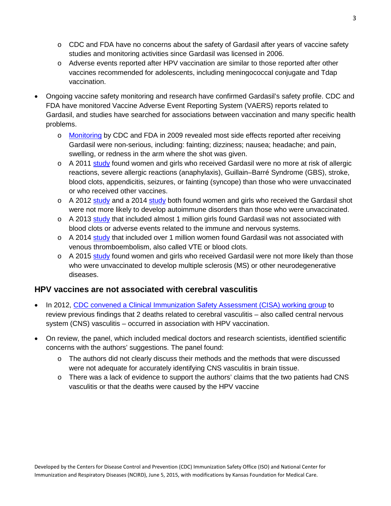- $\circ$  CDC and FDA have no concerns about the safety of Gardasil after years of vaccine safety studies and monitoring activities since Gardasil was licensed in 2006.
- o Adverse events reported after HPV vaccination are similar to those reported after other vaccines recommended for adolescents, including meningococcal conjugate and Tdap vaccination.
- Ongoing vaccine safety monitoring and research have confirmed Gardasil's safety profile. CDC and FDA have monitored Vaccine Adverse Event Reporting System (VAERS) reports related to Gardasil, and studies have searched for associations between vaccination and many specific health problems.
	- o [Monitoring](http://www.ncbi.nlm.nih.gov/pubmed/19690307) by CDC and FDA in 2009 revealed most side effects reported after receiving Gardasil were non-serious, including: fainting; dizziness; nausea; headache; and pain, swelling, or redness in the arm where the shot was given.
	- $\circ$  A 2011 [study](http://www.ncbi.nlm.nih.gov/pubmed/21907257) found women and girls who received Gardasil were no more at risk of allergic reactions, severe allergic reactions (anaphylaxis), Guillain–Barré Syndrome (GBS), stroke, blood clots, appendicitis, seizures, or fainting (syncope) than those who were unvaccinated or who received other vaccines.
	- o A 2012 [study](http://www.ncbi.nlm.nih.gov/pubmed/24206418) and a 2014 study both found women and girls who received the Gardasil shot were not more likely to develop autoimmune disorders than those who were unvaccinated.
	- $\circ$  A 2013 [study](http://www.ncbi.nlm.nih.gov/pubmed/24108159) that included almost 1 million girls found Gardasil was not associated with blood clots or adverse events related to the immune and nervous systems.
	- $\circ$  A 2014 [study](http://jama.jamanetwork.com/article.aspx?articleid=1886177) that included over 1 million women found Gardasil was not associated with venous thromboembolism, also called VTE or blood clots.
	- $\circ$  A 2015 [study](http://www.ncbi.nlm.nih.gov/pubmed/25562266) found women and girls who received Gardasil were not more likely than those who were unvaccinated to develop multiple sclerosis (MS) or other neurodegenerative diseases.

# **HPV vaccines are not associated with cerebral vasculitis**

- In 2012, [CDC convened a Clinical Immunization Safety Assessment \(CISA\) working group](http://www.cdc.gov/vaccinesafety/Activities/cisa/technical_report.html) to review previous findings that 2 deaths related to cerebral vasculitis – also called central nervous system (CNS) vasculitis – occurred in association with HPV vaccination.
- On review, the panel, which included medical doctors and research scientists, identified scientific concerns with the authors' suggestions. The panel found:
	- $\circ$  The authors did not clearly discuss their methods and the methods that were discussed were not adequate for accurately identifying CNS vasculitis in brain tissue.
	- $\circ$  There was a lack of evidence to support the authors' claims that the two patients had CNS vasculitis or that the deaths were caused by the HPV vaccine